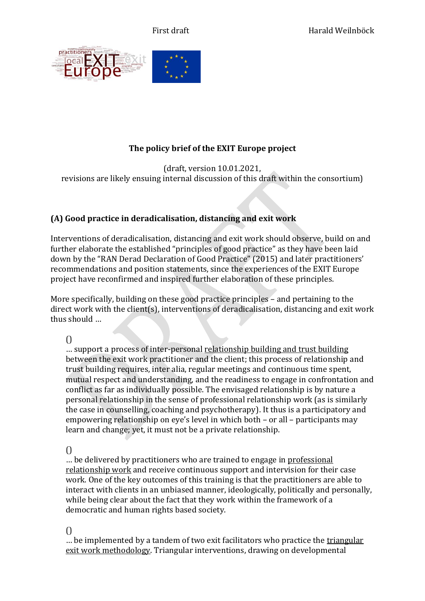

# **The policy brief of the EXIT Europe project**

(draft, version 10.01.2021, revisions are likely ensuing internal discussion of this draft within the consortium)

# **(A) Good practice in deradicalisation, distancing and exit work**

Interventions of deradicalisation, distancing and exit work should observe, build on and further elaborate the established "principles of good practice" as they have been laid down by the "RAN Derad Declaration of Good Practice" (2015) and later practitioners' recommendations and position statements, since the experiences of the EXIT Europe project have reconfirmed and inspired further elaboration of these principles.

More specifically, building on these good practice principles – and pertaining to the direct work with the client(s), interventions of deradicalisation, distancing and exit work thus should …

## $\bigcap$

… support a process of inter-personal relationship building and trust building between the exit work practitioner and the client; this process of relationship and trust building requires, inter alia, regular meetings and continuous time spent, mutual respect and understanding, and the readiness to engage in confrontation and conflict as far as individually possible. The envisaged relationship is by nature a personal relationship in the sense of professional relationship work (as is similarly the case in counselling, coaching and psychotherapy). It thus is a participatory and empowering relationship on eye's level in which both – or all – participants may learn and change; yet, it must not be a private relationship.

 $\left($ 

… be delivered by practitioners who are trained to engage in professional relationship work and receive continuous support and intervision for their case work. One of the key outcomes of this training is that the practitioners are able to interact with clients in an unbiased manner, ideologically, politically and personally, while being clear about the fact that they work within the framework of a democratic and human rights based society.

 $\bigcap$ 

… be implemented by a tandem of two exit facilitators who practice the triangular exit work methodology. Triangular interventions, drawing on developmental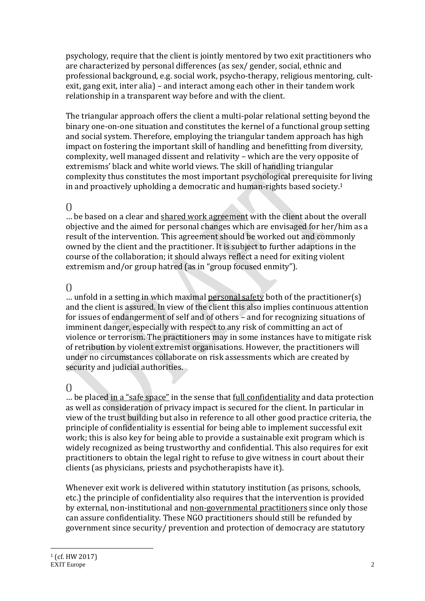psychology, require that the client is jointly mentored by two exit practitioners who are characterized by personal differences (as sex/ gender, social, ethnic and professional background, e.g. social work, psycho-therapy, religious mentoring, cultexit, gang exit, inter alia) – and interact among each other in their tandem work relationship in a transparent way before and with the client.

The triangular approach offers the client a multi-polar relational setting beyond the binary one-on-one situation and constitutes the kernel of a functional group setting and social system. Therefore, employing the triangular tandem approach has high impact on fostering the important skill of handling and benefitting from diversity, complexity, well managed dissent and relativity – which are the very opposite of extremisms' black and white world views. The skill of handling triangular complexity thus constitutes the most important psychological prerequisite for living in and proactively upholding a democratic and human-rights based society. 1

## $\bigcap$

… be based on a clear and shared work agreement with the client about the overall objective and the aimed for personal changes which are envisaged for her/him as a result of the intervention. This agreement should be worked out and commonly owned by the client and the practitioner. It is subject to further adaptions in the course of the collaboration; it should always reflect a need for exiting violent extremism and/or group hatred (as in "group focused enmity").

## $\bigcap$

… unfold in a setting in which maximal personal safety both of the practitioner(s) and the client is assured. In view of the client this also implies continuous attention for issues of endangerment of self and of others – and for recognizing situations of imminent danger, especially with respect to any risk of committing an act of violence or terrorism. The practitioners may in some instances have to mitigate risk of retribution by violent extremist organisations. However, the practitioners will under no circumstances collaborate on risk assessments which are created by security and judicial authorities.

# $\bigcap$

… be placed in a "safe space" in the sense that full confidentiality and data protection as well as consideration of privacy impact is secured for the client. In particular in view of the trust building but also in reference to all other good practice criteria, the principle of confidentiality is essential for being able to implement successful exit work; this is also key for being able to provide a sustainable exit program which is widely recognized as being trustworthy and confidential. This also requires for exit practitioners to obtain the legal right to refuse to give witness in court about their clients (as physicians, priests and psychotherapists have it).

Whenever exit work is delivered within statutory institution (as prisons, schools, etc.) the principle of confidentiality also requires that the intervention is provided by external, non-institutional and non-governmental practitioners since only those can assure confidentiality. These NGO practitioners should still be refunded by government since security/ prevention and protection of democracy are statutory

<u>.</u>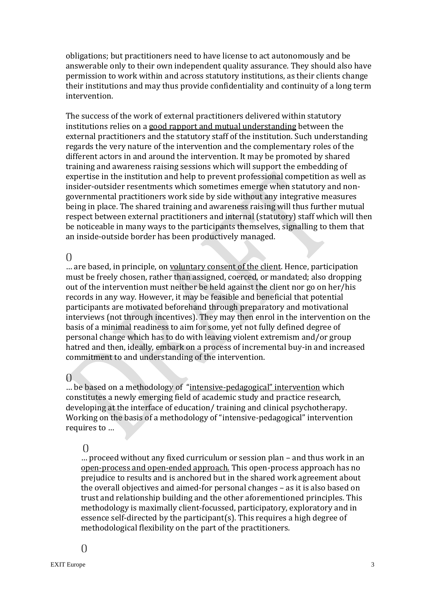obligations; but practitioners need to have license to act autonomously and be answerable only to their own independent quality assurance. They should also have permission to work within and across statutory institutions, as their clients change their institutions and may thus provide confidentiality and continuity of a long term intervention.

The success of the work of external practitioners delivered within statutory institutions relies on a good rapport and mutual understanding between the external practitioners and the statutory staff of the institution. Such understanding regards the very nature of the intervention and the complementary roles of the different actors in and around the intervention. It may be promoted by shared training and awareness raising sessions which will support the embedding of expertise in the institution and help to prevent professional competition as well as insider-outsider resentments which sometimes emerge when statutory and nongovernmental practitioners work side by side without any integrative measures being in place. The shared training and awareness raising will thus further mutual respect between external practitioners and internal (statutory) staff which will then be noticeable in many ways to the participants themselves, signalling to them that an inside-outside border has been productively managed.

#### $\bigcap$

… are based, in principle, on voluntary consent of the client. Hence, participation must be freely chosen, rather than assigned, coerced, or mandated; also dropping out of the intervention must neither be held against the client nor go on her/his records in any way. However, it may be feasible and beneficial that potential participants are motivated beforehand through preparatory and motivational interviews (not through incentives). They may then enrol in the intervention on the basis of a minimal readiness to aim for some, yet not fully defined degree of personal change which has to do with leaving violent extremism and/or group hatred and then, ideally, embark on a process of incremental buy-in and increased commitment to and understanding of the intervention.

#### $\bigcap$

… be based on a methodology of "intensive-pedagogical" intervention which constitutes a newly emerging field of academic study and practice research, developing at the interface of education/ training and clinical psychotherapy. Working on the basis of a methodology of "intensive-pedagogical" intervention requires to …

#### ()

… proceed without any fixed curriculum or session plan – and thus work in an open-process and open-ended approach. This open-process approach has no prejudice to results and is anchored but in the shared work agreement about the overall objectives and aimed-for personal changes – as it is also based on trust and relationship building and the other aforementioned principles. This methodology is maximally client-focussed, participatory, exploratory and in essence self-directed by the participant(s). This requires a high degree of methodological flexibility on the part of the practitioners.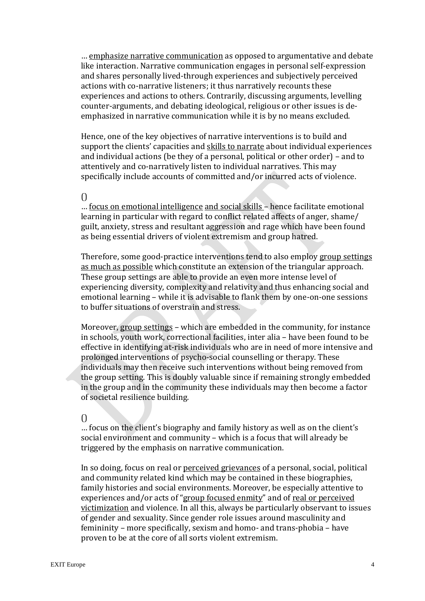... emphasize narrative communication as opposed to argumentative and debate like interaction. Narrative communication engages in personal self-expression and shares personally lived-through experiences and subjectively perceived actions with co-narrative listeners; it thus narratively recounts these experiences and actions to others. Contrarily, discussing arguments, levelling counter-arguments, and debating ideological, religious or other issues is deemphasized in narrative communication while it is by no means excluded.

Hence, one of the key objectives of narrative interventions is to build and support the clients' capacities and skills to narrate about individual experiences and individual actions (be they of a personal, political or other order) – and to attentively and co-narratively listen to individual narratives. This may specifically include accounts of committed and/or incurred acts of violence.

#### $\bigcap$

… focus on emotional intelligence and social skills – hence facilitate emotional learning in particular with regard to conflict related affects of anger, shame/ guilt, anxiety, stress and resultant aggression and rage which have been found as being essential drivers of violent extremism and group hatred.

Therefore, some good-practice interventions tend to also employ group settings as much as possible which constitute an extension of the triangular approach. These group settings are able to provide an even more intense level of experiencing diversity, complexity and relativity and thus enhancing social and emotional learning – while it is advisable to flank them by one-on-one sessions to buffer situations of overstrain and stress.

Moreover, group settings – which are embedded in the community, for instance in schools, youth work, correctional facilities, inter alia – have been found to be effective in identifying at-risk individuals who are in need of more intensive and prolonged interventions of psycho-social counselling or therapy. These individuals may then receive such interventions without being removed from the group setting. This is doubly valuable since if remaining strongly embedded in the group and in the community these individuals may then become a factor of societal resilience building.

#### $\bigcap$

… focus on the client's biography and family history as well as on the client's social environment and community – which is a focus that will already be triggered by the emphasis on narrative communication.

In so doing, focus on real or perceived grievances of a personal, social, political and community related kind which may be contained in these biographies, family histories and social environments. Moreover, be especially attentive to experiences and/or acts of "group focused enmity" and of real or perceived victimization and violence. In all this, always be particularly observant to issues of gender and sexuality. Since gender role issues around masculinity and femininity – more specifically, sexism and homo- and trans-phobia – have proven to be at the core of all sorts violent extremism.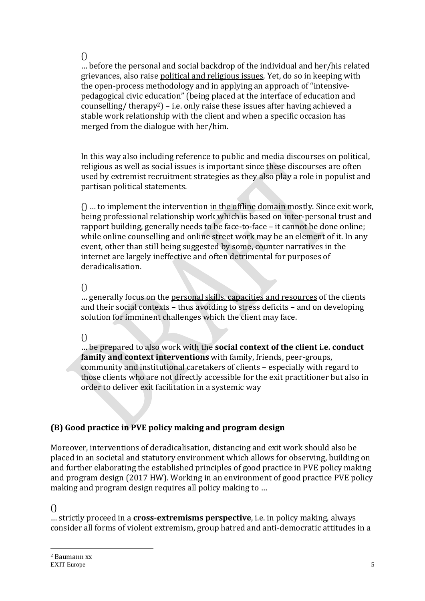()

… before the personal and social backdrop of the individual and her/his related grievances, also raise political and religious issues. Yet, do so in keeping with the open-process methodology and in applying an approach of "intensivepedagogical civic education" (being placed at the interface of education and counselling/ therapy2) – i.e. only raise these issues after having achieved a stable work relationship with the client and when a specific occasion has merged from the dialogue with her/him.

In this way also including reference to public and media discourses on political, religious as well as social issues is important since these discourses are often used by extremist recruitment strategies as they also play a role in populist and partisan political statements.

() … to implement the intervention in the offline domain mostly. Since exit work, being professional relationship work which is based on inter-personal trust and rapport building, generally needs to be face-to-face – it cannot be done online; while online counselling and online street work may be an element of it. In any event, other than still being suggested by some, counter narratives in the internet are largely ineffective and often detrimental for purposes of deradicalisation.

#### $\bigcap$

… generally focus on the personal skills, capacities and resources of the clients and their social contexts – thus avoiding to stress deficits – and on developing solution for imminent challenges which the client may face.

## $\bigcap$

… be prepared to also work with the **social context of the client i.e. conduct family and context interventions** with family, friends, peer-groups, community and institutional caretakers of clients – especially with regard to those clients who are not directly accessible for the exit practitioner but also in order to deliver exit facilitation in a systemic way

# **(B) Good practice in PVE policy making and program design**

Moreover, interventions of deradicalisation, distancing and exit work should also be placed in an societal and statutory environment which allows for observing, building on and further elaborating the established principles of good practice in PVE policy making and program design (2017 HW). Working in an environment of good practice PVE policy making and program design requires all policy making to …

## $\bigcap$

<u>.</u>

… strictly proceed in a **cross-extremisms perspective**, i.e. in policy making, always consider all forms of violent extremism, group hatred and anti-democratic attitudes in a

EXIT Europe 50 and 50 and 50 and 50 and 50 and 50 and 50 and 50 and 50 and 50 and 50 and 50 and 50 and 50 and 50 and 50 and 50 and 50 and 50 and 50 and 50 and 50 and 50 and 50 and 50 and 50 and 50 and 50 and 50 and 50 and <sup>2</sup> Baumann xx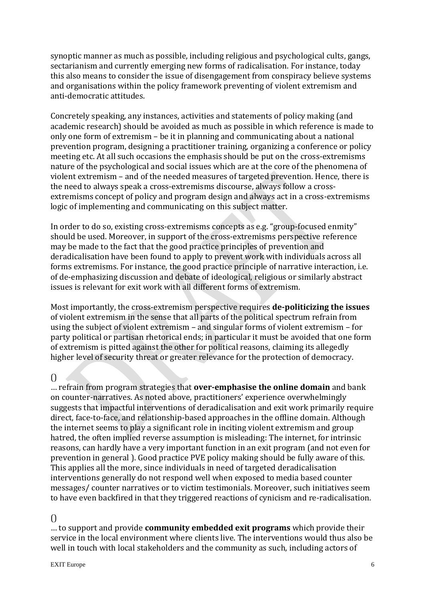synoptic manner as much as possible, including religious and psychological cults, gangs, sectarianism and currently emerging new forms of radicalisation. For instance, today this also means to consider the issue of disengagement from conspiracy believe systems and organisations within the policy framework preventing of violent extremism and anti-democratic attitudes.

Concretely speaking, any instances, activities and statements of policy making (and academic research) should be avoided as much as possible in which reference is made to only one form of extremism – be it in planning and communicating about a national prevention program, designing a practitioner training, organizing a conference or policy meeting etc. At all such occasions the emphasis should be put on the cross-extremisms nature of the psychological and social issues which are at the core of the phenomena of violent extremism – and of the needed measures of targeted prevention. Hence, there is the need to always speak a cross-extremisms discourse, always follow a crossextremisms concept of policy and program design and always act in a cross-extremisms logic of implementing and communicating on this subject matter.

In order to do so, existing cross-extremisms concepts as e.g. "group-focused enmity" should be used. Moreover, in support of the cross-extremisms perspective reference may be made to the fact that the good practice principles of prevention and deradicalisation have been found to apply to prevent work with individuals across all forms extremisms. For instance, the good practice principle of narrative interaction, i.e. of de-emphasizing discussion and debate of ideological, religious or similarly abstract issues is relevant for exit work with all different forms of extremism.

Most importantly, the cross-extremism perspective requires **de-politicizing the issues** of violent extremism in the sense that all parts of the political spectrum refrain from using the subject of violent extremism – and singular forms of violent extremism – for party political or partisan rhetorical ends; in particular it must be avoided that one form of extremism is pitted against the other for political reasons, claiming its allegedly higher level of security threat or greater relevance for the protection of democracy.

#### $\bigcap$

… refrain from program strategies that **over-emphasise the online domain** and bank on counter-narratives. As noted above, practitioners' experience overwhelmingly suggests that impactful interventions of deradicalisation and exit work primarily require direct, face-to-face, and relationship-based approaches in the offline domain. Although the internet seems to play a significant role in inciting violent extremism and group hatred, the often implied reverse assumption is misleading: The internet, for intrinsic reasons, can hardly have a very important function in an exit program (and not even for prevention in general ). Good practice PVE policy making should be fully aware of this. This applies all the more, since individuals in need of targeted deradicalisation interventions generally do not respond well when exposed to media based counter messages/ counter narratives or to victim testimonials. Moreover, such initiatives seem to have even backfired in that they triggered reactions of cynicism and re-radicalisation.

#### $\bigcap$

… to support and provide **community embedded exit programs** which provide their service in the local environment where clients live. The interventions would thus also be well in touch with local stakeholders and the community as such, including actors of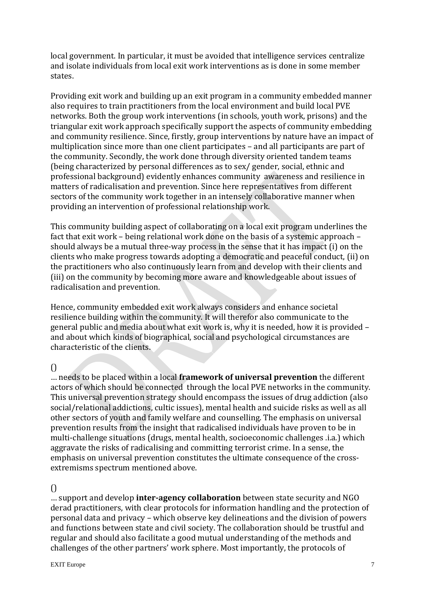local government. In particular, it must be avoided that intelligence services centralize and isolate individuals from local exit work interventions as is done in some member states.

Providing exit work and building up an exit program in a community embedded manner also requires to train practitioners from the local environment and build local PVE networks. Both the group work interventions (in schools, youth work, prisons) and the triangular exit work approach specifically support the aspects of community embedding and community resilience. Since, firstly, group interventions by nature have an impact of multiplication since more than one client participates – and all participants are part of the community. Secondly, the work done through diversity oriented tandem teams (being characterized by personal differences as to sex/ gender, social, ethnic and professional background) evidently enhances community awareness and resilience in matters of radicalisation and prevention. Since here representatives from different sectors of the community work together in an intensely collaborative manner when providing an intervention of professional relationship work.

This community building aspect of collaborating on a local exit program underlines the fact that exit work – being relational work done on the basis of a systemic approach – should always be a mutual three-way process in the sense that it has impact (i) on the clients who make progress towards adopting a democratic and peaceful conduct, (ii) on the practitioners who also continuously learn from and develop with their clients and (iii) on the community by becoming more aware and knowledgeable about issues of radicalisation and prevention.

Hence, community embedded exit work always considers and enhance societal resilience building within the community. It will therefor also communicate to the general public and media about what exit work is, why it is needed, how it is provided – and about which kinds of biographical, social and psychological circumstances are characteristic of the clients.

 $\bigcap$ 

… needs to be placed within a local **framework of universal prevention** the different actors of which should be connected through the local PVE networks in the community. This universal prevention strategy should encompass the issues of drug addiction (also social/relational addictions, cultic issues), mental health and suicide risks as well as all other sectors of youth and family welfare and counselling. The emphasis on universal prevention results from the insight that radicalised individuals have proven to be in multi-challenge situations (drugs, mental health, socioeconomic challenges .i.a.) which aggravate the risks of radicalising and committing terrorist crime. In a sense, the emphasis on universal prevention constitutes the ultimate consequence of the crossextremisms spectrum mentioned above.

## $\bigcap$

… support and develop **inter-agency collaboration** between state security and NGO derad practitioners, with clear protocols for information handling and the protection of personal data and privacy – which observe key delineations and the division of powers and functions between state and civil society. The collaboration should be trustful and regular and should also facilitate a good mutual understanding of the methods and challenges of the other partners' work sphere. Most importantly, the protocols of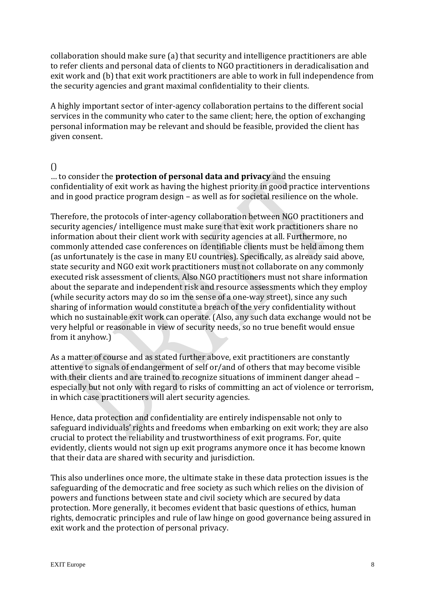collaboration should make sure (a) that security and intelligence practitioners are able to refer clients and personal data of clients to NGO practitioners in deradicalisation and exit work and (b) that exit work practitioners are able to work in full independence from the security agencies and grant maximal confidentiality to their clients.

A highly important sector of inter-agency collaboration pertains to the different social services in the community who cater to the same client; here, the option of exchanging personal information may be relevant and should be feasible, provided the client has given consent.

#### $\bigcap$

… to consider the **protection of personal data and privacy** and the ensuing confidentiality of exit work as having the highest priority in good practice interventions and in good practice program design – as well as for societal resilience on the whole.

Therefore, the protocols of inter-agency collaboration between NGO practitioners and security agencies/ intelligence must make sure that exit work practitioners share no information about their client work with security agencies at all. Furthermore, no commonly attended case conferences on identifiable clients must be held among them (as unfortunately is the case in many EU countries). Specifically, as already said above, state security and NGO exit work practitioners must not collaborate on any commonly executed risk assessment of clients. Also NGO practitioners must not share information about the separate and independent risk and resource assessments which they employ (while security actors may do so im the sense of a one-way street), since any such sharing of information would constitute a breach of the very confidentiality without which no sustainable exit work can operate. (Also, any such data exchange would not be very helpful or reasonable in view of security needs, so no true benefit would ensue from it anyhow.)

As a matter of course and as stated further above, exit practitioners are constantly attentive to signals of endangerment of self or/and of others that may become visible with their clients and are trained to recognize situations of imminent danger ahead – especially but not only with regard to risks of committing an act of violence or terrorism, in which case practitioners will alert security agencies.

Hence, data protection and confidentiality are entirely indispensable not only to safeguard individuals' rights and freedoms when embarking on exit work; they are also crucial to protect the reliability and trustworthiness of exit programs. For, quite evidently, clients would not sign up exit programs anymore once it has become known that their data are shared with security and jurisdiction.

This also underlines once more, the ultimate stake in these data protection issues is the safeguarding of the democratic and free society as such which relies on the division of powers and functions between state and civil society which are secured by data protection. More generally, it becomes evident that basic questions of ethics, human rights, democratic principles and rule of law hinge on good governance being assured in exit work and the protection of personal privacy.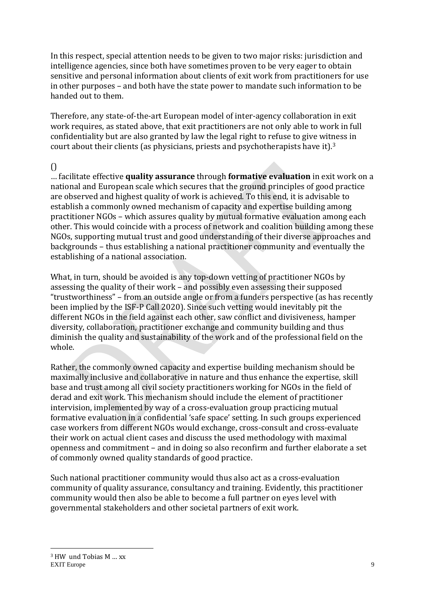In this respect, special attention needs to be given to two major risks: jurisdiction and intelligence agencies, since both have sometimes proven to be very eager to obtain sensitive and personal information about clients of exit work from practitioners for use in other purposes – and both have the state power to mandate such information to be handed out to them.

Therefore, any state-of-the-art European model of inter-agency collaboration in exit work requires, as stated above, that exit practitioners are not only able to work in full confidentiality but are also granted by law the legal right to refuse to give witness in court about their clients (as physicians, priests and psychotherapists have it).<sup>3</sup>

#### $\bigcap$

… facilitate effective **quality assurance** through **formative evaluation** in exit work on a national and European scale which secures that the ground principles of good practice are observed and highest quality of work is achieved. To this end, it is advisable to establish a commonly owned mechanism of capacity and expertise building among practitioner NGOs – which assures quality by mutual formative evaluation among each other. This would coincide with a process of network and coalition building among these NGOs, supporting mutual trust and good understanding of their diverse approaches and backgrounds – thus establishing a national practitioner community and eventually the establishing of a national association.

What, in turn, should be avoided is any top-down vetting of practitioner NGOs by assessing the quality of their work – and possibly even assessing their supposed "trustworthiness" – from an outside angle or from a funders perspective (as has recently been implied by the ISF-P Call 2020). Since such vetting would inevitably pit the different NGOs in the field against each other, saw conflict and divisiveness, hamper diversity, collaboration, practitioner exchange and community building and thus diminish the quality and sustainability of the work and of the professional field on the whole.

Rather, the commonly owned capacity and expertise building mechanism should be maximally inclusive and collaborative in nature and thus enhance the expertise, skill base and trust among all civil society practitioners working for NGOs in the field of derad and exit work. This mechanism should include the element of practitioner intervision, implemented by way of a cross-evaluation group practicing mutual formative evaluation in a confidential 'safe space' setting. In such groups experienced case workers from different NGOs would exchange, cross-consult and cross-evaluate their work on actual client cases and discuss the used methodology with maximal openness and commitment – and in doing so also reconfirm and further elaborate a set of commonly owned quality standards of good practice.

Such national practitioner community would thus also act as a cross-evaluation community of quality assurance, consultancy and training. Evidently, this practitioner community would then also be able to become a full partner on eyes level with governmental stakeholders and other societal partners of exit work.

<u>.</u>

EXIT Europe **9** <sup>3</sup> HW und Tobias M … xx